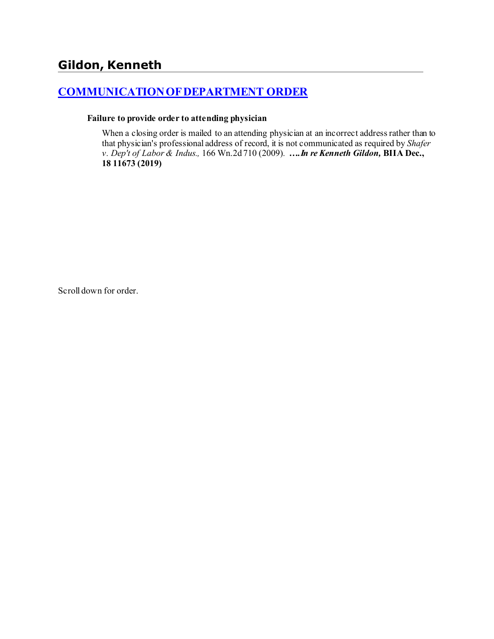# **[COMMUNICATION OF DEPARTMENT ORDER](http://www.biia.wa.gov/SDSubjectIndex.html#COMMUNICATION_OF_DEPARTMENT_ORDER)**

#### **Failure to provide order to attending physician**

When a closing order is mailed to an attending physician at an incorrect address rather than to that physician's professional address of record, it is not communicated as required by *Shafer v. Dep't of Labor & Indus.,* 166 Wn.2d 710 (2009)*. ….In re Kenneth Gildon,* **BIIA Dec., 18 11673 (2019)**

Scroll down for order.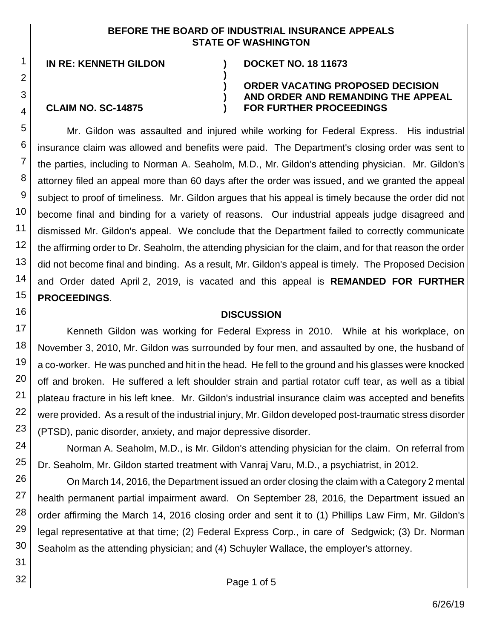## **BEFORE THE BOARD OF INDUSTRIAL INSURANCE APPEALS STATE OF WASHINGTON**

**)**

**) ) )**

**IN RE: KENNETH GILDON ) DOCKET NO. 18 11673**

1

2

3

4

16

18

19

20

21

22

23

31 32

## **CLAIM NO. SC-14875**

### **ORDER VACATING PROPOSED DECISION AND ORDER AND REMANDING THE APPEAL FOR FURTHER PROCEEDINGS**

5 6 7 8 9 10 11 12 13 14 15 Mr. Gildon was assaulted and injured while working for Federal Express. His industrial insurance claim was allowed and benefits were paid. The Department's closing order was sent to the parties, including to Norman A. Seaholm, M.D., Mr. Gildon's attending physician. Mr. Gildon's attorney filed an appeal more than 60 days after the order was issued, and we granted the appeal subject to proof of timeliness. Mr. Gildon argues that his appeal is timely because the order did not become final and binding for a variety of reasons. Our industrial appeals judge disagreed and dismissed Mr. Gildon's appeal. We conclude that the Department failed to correctly communicate the affirming order to Dr. Seaholm, the attending physician for the claim, and for that reason the order did not become final and binding. As a result, Mr. Gildon's appeal is timely. The Proposed Decision and Order dated April 2, 2019, is vacated and this appeal is **REMANDED FOR FURTHER PROCEEDINGS**.

## **DISCUSSION**

17 Kenneth Gildon was working for Federal Express in 2010. While at his workplace, on November 3, 2010, Mr. Gildon was surrounded by four men, and assaulted by one, the husband of a co-worker. He was punched and hit in the head. He fell to the ground and his glasses were knocked off and broken. He suffered a left shoulder strain and partial rotator cuff tear, as well as a tibial plateau fracture in his left knee. Mr. Gildon's industrial insurance claim was accepted and benefits were provided. As a result of the industrial injury, Mr. Gildon developed post-traumatic stress disorder (PTSD), panic disorder, anxiety, and major depressive disorder.

24 25 Norman A. Seaholm, M.D., is Mr. Gildon's attending physician for the claim. On referral from Dr. Seaholm, Mr. Gildon started treatment with Vanraj Varu, M.D., a psychiatrist, in 2012.

26 27 28 29 30 On March 14, 2016, the Department issued an order closing the claim with a Category 2 mental health permanent partial impairment award. On September 28, 2016, the Department issued an order affirming the March 14, 2016 closing order and sent it to (1) Phillips Law Firm, Mr. Gildon's legal representative at that time; (2) Federal Express Corp., in care of Sedgwick; (3) Dr. Norman Seaholm as the attending physician; and (4) Schuyler Wallace, the employer's attorney.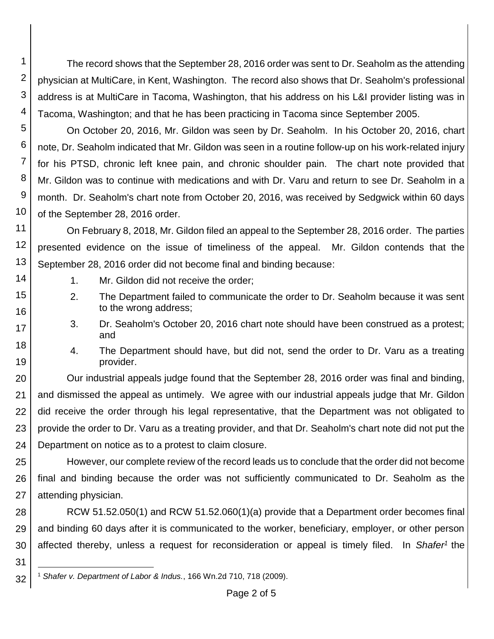1 2 3 4 The record shows that the September 28, 2016 order was sent to Dr. Seaholm as the attending physician at MultiCare, in Kent, Washington. The record also shows that Dr. Seaholm's professional address is at MultiCare in Tacoma, Washington, that his address on his L&I provider listing was in Tacoma, Washington; and that he has been practicing in Tacoma since September 2005.

5 6 7 8 9 10 On October 20, 2016, Mr. Gildon was seen by Dr. Seaholm. In his October 20, 2016, chart note, Dr. Seaholm indicated that Mr. Gildon was seen in a routine follow-up on his work-related injury for his PTSD, chronic left knee pain, and chronic shoulder pain. The chart note provided that Mr. Gildon was to continue with medications and with Dr. Varu and return to see Dr. Seaholm in a month. Dr. Seaholm's chart note from October 20, 2016, was received by Sedgwick within 60 days of the September 28, 2016 order.

11 12 13 On February 8, 2018, Mr. Gildon filed an appeal to the September 28, 2016 order. The parties presented evidence on the issue of timeliness of the appeal. Mr. Gildon contends that the September 28, 2016 order did not become final and binding because:

1. Mr. Gildon did not receive the order;

14

15

16 17

18 19

31

- 2. The Department failed to communicate the order to Dr. Seaholm because it was sent to the wrong address;
- 3. Dr. Seaholm's October 20, 2016 chart note should have been construed as a protest; and
- 4. The Department should have, but did not, send the order to Dr. Varu as a treating provider.

20 21 22 23 24 Our industrial appeals judge found that the September 28, 2016 order was final and binding, and dismissed the appeal as untimely. We agree with our industrial appeals judge that Mr. Gildon did receive the order through his legal representative, that the Department was not obligated to provide the order to Dr. Varu as a treating provider, and that Dr. Seaholm's chart note did not put the Department on notice as to a protest to claim closure.

25 26 27 However, our complete review of the record leads us to conclude that the order did not become final and binding because the order was not sufficiently communicated to Dr. Seaholm as the attending physician.

28 29 30 RCW 51.52.050(1) and RCW 51.52.060(1)(a) provide that a Department order becomes final and binding 60 days after it is communicated to the worker, beneficiary, employer, or other person affected thereby, unless a request for reconsideration or appeal is timely filed. In *Shafer<sup>1</sup>* the

32 l <sup>1</sup> *Shafer v. Department of Labor & Indus.*, 166 Wn.2d 710, 718 (2009).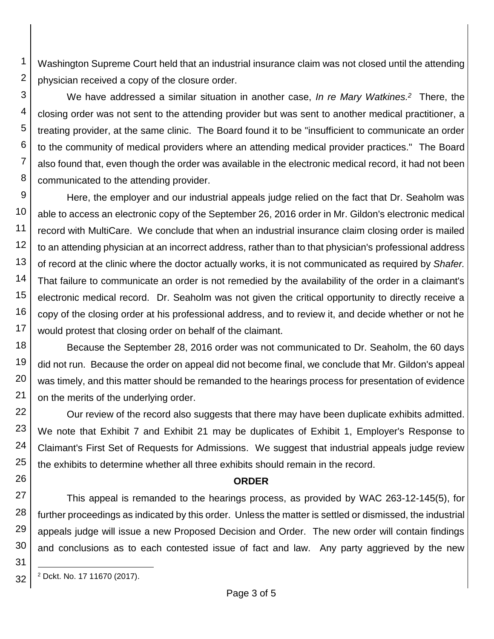Washington Supreme Court held that an industrial insurance claim was not closed until the attending physician received a copy of the closure order.

We have addressed a similar situation in another case, *In re Mary Watkines. 2* There, the closing order was not sent to the attending provider but was sent to another medical practitioner, a treating provider, at the same clinic. The Board found it to be "insufficient to communicate an order to the community of medical providers where an attending medical provider practices." The Board also found that, even though the order was available in the electronic medical record, it had not been communicated to the attending provider.

9 10 11 12 13 14 15 16 17 Here, the employer and our industrial appeals judge relied on the fact that Dr. Seaholm was able to access an electronic copy of the September 26, 2016 order in Mr. Gildon's electronic medical record with MultiCare. We conclude that when an industrial insurance claim closing order is mailed to an attending physician at an incorrect address, rather than to that physician's professional address of record at the clinic where the doctor actually works, it is not communicated as required by *Shafer.* That failure to communicate an order is not remedied by the availability of the order in a claimant's electronic medical record. Dr. Seaholm was not given the critical opportunity to directly receive a copy of the closing order at his professional address, and to review it, and decide whether or not he would protest that closing order on behalf of the claimant.

18 19 20 21 Because the September 28, 2016 order was not communicated to Dr. Seaholm, the 60 days did not run. Because the order on appeal did not become final, we conclude that Mr. Gildon's appeal was timely, and this matter should be remanded to the hearings process for presentation of evidence on the merits of the underlying order.

22 23 24 25 Our review of the record also suggests that there may have been duplicate exhibits admitted. We note that Exhibit 7 and Exhibit 21 may be duplicates of Exhibit 1, Employer's Response to Claimant's First Set of Requests for Admissions. We suggest that industrial appeals judge review the exhibits to determine whether all three exhibits should remain in the record.

## **ORDER**

27 28 29 30 This appeal is remanded to the hearings process, as provided by WAC 263-12-145(5), for further proceedings as indicated by this order. Unless the matter is settled or dismissed, the industrial appeals judge will issue a new Proposed Decision and Order. The new order will contain findings and conclusions as to each contested issue of fact and law. Any party aggrieved by the new

32 l <sup>2</sup> Dckt. No. 17 11670 (2017).

1

2

3

4

5

6 7

8

26

31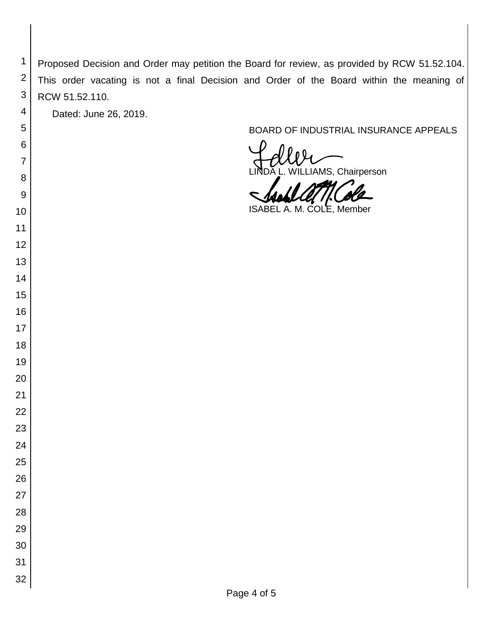Proposed Decision and Order may petition the Board for review, as provided by RCW 51.52.104. This order vacating is not a final Decision and Order of the Board within the meaning of RCW 51.52.110.

Dated: June 26, 2019.

 

 

 

 

# BOARD OF INDUSTRIAL INSURANCE APPEALS

IAMS, Chairperson

ISABEL A. M. COLE, Member